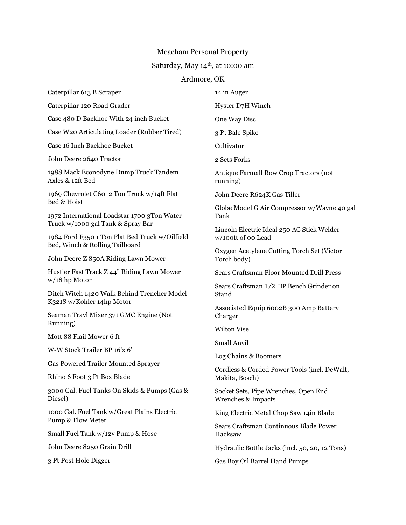## Meacham Personal Property

## Saturday, May  $14^{\rm th}$  , at 10:00 am

## Ardmore, OK

| Caterpillar 613 B Scraper                                                           | 14 in Auger                                                      |
|-------------------------------------------------------------------------------------|------------------------------------------------------------------|
| Caterpillar 120 Road Grader                                                         | Hyster D7H Winch                                                 |
| Case 480 D Backhoe With 24 inch Bucket                                              | One Way Disc                                                     |
| Case W20 Articulating Loader (Rubber Tired)                                         | 3 Pt Bale Spike                                                  |
| Case 16 Inch Backhoe Bucket                                                         | Cultivator                                                       |
| John Deere 2640 Tractor                                                             | 2 Sets Forks                                                     |
| 1988 Mack Econodyne Dump Truck Tandem<br>Axles & 12ft Bed                           | Antique Farmall Row Crop Tractors (not<br>running)               |
| 1969 Chevrolet C60 2 Ton Truck w/14ft Flat<br>Bed & Hoist                           | John Deere R624K Gas Tiller                                      |
| 1972 International Loadstar 1700 3Ton Water                                         | Globe Model G Air Compressor w/Wayne 40 gal<br>Tank              |
| Truck w/1000 gal Tank & Spray Bar<br>1984 Ford F350 1 Ton Flat Bed Truck w/Oilfield | Lincoln Electric Ideal 250 AC Stick Welder<br>w/100ft of 00 Lead |
| Bed, Winch & Rolling Tailboard<br>John Deere Z 850A Riding Lawn Mower               | Oxygen Acetylene Cutting Torch Set (Victor<br>Torch body)        |
| Hustler Fast Track Z 44" Riding Lawn Mower                                          | Sears Craftsman Floor Mounted Drill Press                        |
| $w/18$ hp Motor<br>Ditch Witch 1420 Walk Behind Trencher Model                      | Sears Craftsman 1/2 HP Bench Grinder on<br>Stand                 |
| K321S w/Kohler 14hp Motor<br>Seaman Travl Mixer 371 GMC Engine (Not                 | Associated Equip 6002B 300 Amp Battery<br>Charger                |
| Running)<br>Mott 88 Flail Mower 6 ft                                                | <b>Wilton Vise</b>                                               |
| W-W Stock Trailer BP 16'x 6'                                                        | Small Anvil                                                      |
|                                                                                     | Log Chains & Boomers                                             |
| <b>Gas Powered Trailer Mounted Sprayer</b><br>Rhino 6 Foot 3 Pt Box Blade           | Cordless & Corded Power Tools (incl. DeWalt,<br>Makita, Bosch)   |
| 3000 Gal. Fuel Tanks On Skids & Pumps (Gas &<br>Diesel)                             | Socket Sets, Pipe Wrenches, Open End<br>Wrenches & Impacts       |
| 1000 Gal. Fuel Tank w/Great Plains Electric                                         | King Electric Metal Chop Saw 14in Blade                          |
| Pump & Flow Meter                                                                   | Sears Craftsman Continuous Blade Power                           |
| Small Fuel Tank w/12v Pump & Hose                                                   | Hacksaw                                                          |
| John Deere 8250 Grain Drill                                                         | Hydraulic Bottle Jacks (incl. 50, 20, 12 Tons)                   |
| 3 Pt Post Hole Digger                                                               | Gas Boy Oil Barrel Hand Pumps                                    |